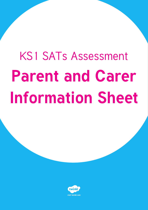# KS1 SATs Assessment **Parent and Carer Information Sheet**

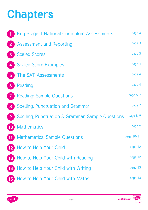# **Chapters**

|                          | Key Stage 1 National Curriculum Assessments                  | page 3     |
|--------------------------|--------------------------------------------------------------|------------|
|                          | <b>Assessment and Reporting</b>                              | page 3     |
| $\overline{3}$           | <b>Scaled Scores</b>                                         | page 3     |
|                          | <b>Scaled Score Examples</b>                                 | page 4     |
| $5\overline{5}$          | The SAT Assessments                                          | page 4     |
| 6                        | Reading                                                      | page 4     |
|                          | <b>Reading: Sample Questions</b>                             | page 5-7   |
| 8                        | <b>Spelling, Punctuation and Grammar</b>                     | page 7     |
| 9                        | <b>Spelling, Punctuation &amp; Grammar: Sample Questions</b> | page 8-9   |
| $\overline{\mathbf{10}}$ | <b>Mathematics</b>                                           | page 9     |
| $\overline{11}$          | <b>Mathematics: Sample Questions</b>                         | page 10-11 |
|                          | 12 How to Help Your Child                                    | page 12    |
|                          | <b>13</b> How to Help Your Child with Reading                | page 12    |
|                          | 14 How to Help Your Child with Writing                       | page 13    |
|                          | 15 How to Help Your Child with Maths                         | page 13    |

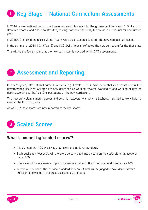# <span id="page-2-0"></span>**Key Stage 1 National Curriculum Assessments 1**

In 2014, a new national curriculum framework was introduced by the government for Years 1, 3, 4 and 5. However, Years 2 and 6 (due to statutory testing) continued to study the previous curriculum for one further year.

In 2015/2016, children in Year 2 and Year 6 were also expected to study the new national curriculum.

In the summer of 2016, KS1 (Year 2) and KS2 SATs (Year 6) reflected the new curriculum for the first time.

This will be the fourth year that the new curriculum is covered within SAT assessments.

# **Assessment and Reporting 2**

In recent years, 'old' national curriculum levels (e.g. Levels 1, 2, 3) have been abolished as set out in the government guidelines. Children are now described as working towards, working at and working at greater depth according to the Year 2 expectations of the new curriculum.

The new curriculum is more rigorous and sets high expectations, which all schools have had to work hard to meet in the last two years.

As of 2016, test scores are now reported as 'scaled scores'.

# **Scaled Scores 3**

### **What is meant by 'scaled scores'?**

- It is planned that 100 will always represent the 'national standard'.
- Each pupil's raw test score will therefore be converted into a score on the scale, either at, above or below 100.
- The scale will have a lower end point somewhere below 100 and an upper end point above 100.
- A child who achieves the 'national standard' (a score of 100) will be judged to have demonstrated sufficient knowledge in the areas assessed by the tests.



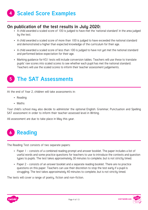### <span id="page-3-0"></span>**On publication of the test results in July 2020:**

- A child awarded a scaled score of 100 is judged to have met the 'national standard' in the area judged by the test.
- A child awarded a scaled score of more than 100 is judged to have exceeded the national standard and demonstrated a higher than expected knowledge of the curriculum for their age.
- A child awarded a scaled score of less than 100 is judged to have not yet met the national standard and performed below expectation for their age.
- Marking guidance for KS1 tests will include conversion tables. Teachers will use these to translate pupils' raw scores into scaled scores to see whether each pupil has met the national standard. Teachers will use the scaled scores to inform their teacher assessment judgements.



At the end of Year 2, children will take assessments in:

- Reading
- Maths

Your child's school may also decide to administer the optional English: Grammar, Punctuation and Spelling SAT assessment in order to inform their teacher-assessed level in Writing.

All assessment are due to take place in May this year.



The Reading Test consists of two separate papers:

- Paper 1 consists of a combined reading prompt and answer booklet. The paper includes a list of useful words and some practice questions for teachers to use to introduce the contexts and question types to pupils. The test takes approximately 30 minutes to complete, but is not strictly timed.
- Paper 2 consists of an answer booklet and a separate reading booklet. There are no practice questions on this paper. Teachers can use their discretion to stop the test early if a pupil is struggling. The test takes approximately 40 minutes to complete, but is not strictly timed.

The texts will cover a range of poetry, fiction and non-fiction.



visit twinkl.com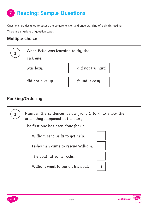# <span id="page-4-0"></span>**Reading: Sample Questions 7**

Questions are designed to assess the comprehension and understanding of a child's reading.

There are a variety of question types:

## **Multiple choice**

| When Bella was learning to fly, she |  |                   |  |
|-------------------------------------|--|-------------------|--|
| Tick one.                           |  |                   |  |
| was lazy.                           |  | did not try hard. |  |
| did not give up.                    |  | found it easy.    |  |

# **Ranking/Ordering**

| Number the sentences below from 1 to 4 to show the<br>order they happened in the story. |  |  |
|-----------------------------------------------------------------------------------------|--|--|
| The first one has been done for you.                                                    |  |  |
| William sent Bella to get help.                                                         |  |  |
| Fishermen came to rescue William.                                                       |  |  |
| The boat hit some rocks.                                                                |  |  |
| William went to sea on his boat.                                                        |  |  |



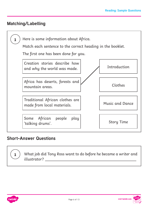## **Matching/Labelling**



### **Short-Answer Questions**

What job did Tony Ross want to do before he became a writer and illustrator?



**1**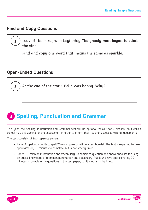### <span id="page-6-0"></span>**Find and Copy Questions**

**1**

**1**

Look at the paragraph beginning **The greedy man began to climb the vine...**

**Find** and **copy one** word that means the same as **sparkle.**

### **Open-Ended Questions**

 $\overline{a}$ 

At the end of the story, Bella was happy. Why?

#### **Spelling, Punctuation and Grammar 8**

This year, the Spelling, Punctuation and Grammar test will be optional for all Year 2 classes. Your child's school may still administer the assessment in order to inform their teacher-assessed writing judgements.

The test consists of two separate papers:

- Paper 1: Spelling pupils to spell 20 missing words within a test booklet. The test is expected to take approximately 15 minutes to complete, but is not strictly timed.
- Paper 2: Grammar, Punctuation and Vocabulary a combined question and answer booklet focusing on pupils' knowledge of grammar, punctuation and vocabulary. Pupils will have approximately 20 minutes to complete the questions in the test paper, but it is not strictly timed.



visit twinkl.com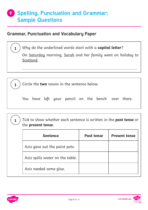# <span id="page-7-0"></span>**Spelling, Punctuation and Grammar: 9 Sample Questions**

### **Grammar, Punctuation and Vocabulary Paper**

 $\overline{a}$ 

**1** Why do the underlined words start with a **capital letter**?

On Saturday morning, Sarah and her family went on holiday to Scotland.

**1** Circle the **two** nouns in the sentence below.

You have left your pencil on the bench over there.

| $\left(\begin{array}{c} \mathbf{1} \end{array}\right)$ Tick to show whether each sentence is written in the <b>past tense</b> or |
|----------------------------------------------------------------------------------------------------------------------------------|
| $\vee$ the present tense.                                                                                                        |

| <b>Sentence</b>                 | <b>Past tense</b> | <b>Present tense</b> |
|---------------------------------|-------------------|----------------------|
| Aziz gave out the paint pots.   |                   |                      |
| Aziz spills water on the table. |                   |                      |
| Aziz needed some glue.          |                   |                      |



visit twinkl.com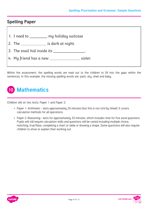### <span id="page-8-0"></span>**Spelling Paper**

- 1. I need to \_\_\_\_\_\_\_\_ my holiday suitcase
- 2. The \_\_\_\_\_\_\_\_\_\_\_\_\_\_ is dark at night.
- 3. The snail hid inside its .
- 4. My friend has a new sister.

Within the assessment, the spelling words are read out to the children to fill into the gaps within the sentences. In this example, the missing spelling words are: pack, sky, shell and baby.

# **10 Mathematics**

Children will sit two tests: Paper 1 and Paper 2:

- Paper 1: Arithmetic lasts approximately 20 minutes (but this is not strictly timed). It covers calculation methods for all operations.
- Paper 2: Reasoning lasts for approximately 35 minutes, which includes time for five aural questions. Pupils will still require calculation skills and questions will be varied including multiple choice, matching, true/false, completing a chart or table or drawing a shape. Some questions will also require children to show or explain their working out.



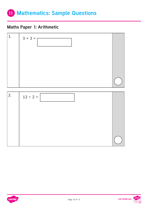# <span id="page-9-0"></span>**11 Mathematics: Sample Questions**

## **Maths Paper 1: Arithmetic**





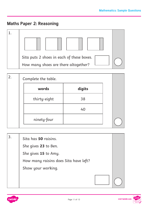## **Maths Paper 2: Reasoning**



| words        | digits |
|--------------|--------|
| thirty-eight | 38     |
|              | 40     |
| ninety-four  |        |

| 3. | Sita has 50 raisins.                  |  |
|----|---------------------------------------|--|
|    | She gives 23 to Ben.                  |  |
|    | She gives 15 to Amy.                  |  |
|    | How many raisins does Sita have left? |  |
|    | Show your working.                    |  |
|    |                                       |  |

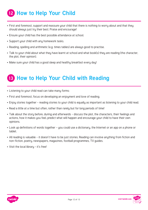# <span id="page-11-0"></span>**12 How to Help Your Child**

- First and foremost, support and reassure your child that there is nothing to worry about and that they should always just try their best. Praise and encourage!
- Ensure your child has the best possible attendance at school.
- Support your child with any homework tasks.
- Reading, spelling and arithmetic (e.g. times tables) are always good to practise.
- Talk to your child about what they have learnt at school and what book(s) they are reading (the character, the plot, their opinion).
- Make sure your child has a good sleep and healthy breakfast every day!

# **13 How to Help Your Child with Reading**

- Listening to your child read can take many forms:
- First and foremost, focus on developing an enjoyment and love of reading.
- Enjoy stories together reading stories to your child is equally as important as listening to your child read.
- Read a little at a time but often, rather than rarely but for long periods of time!
- Talk about the story before, during and afterwards discuss the plot, the characters, their feelings and actions, how it makes you feel, predict what will happen and encourage your child to have their own opinions.
- Look up definitions of words together you could use a dictionary, the Internet or an app on a phone or tablet.
- All reading is valuable it doesn't have to be just stories. Reading can involve anything from fiction and non-fiction, poetry, newspapers, magazines, football programmes, TV guides.
- Visit the local libraru it's free!